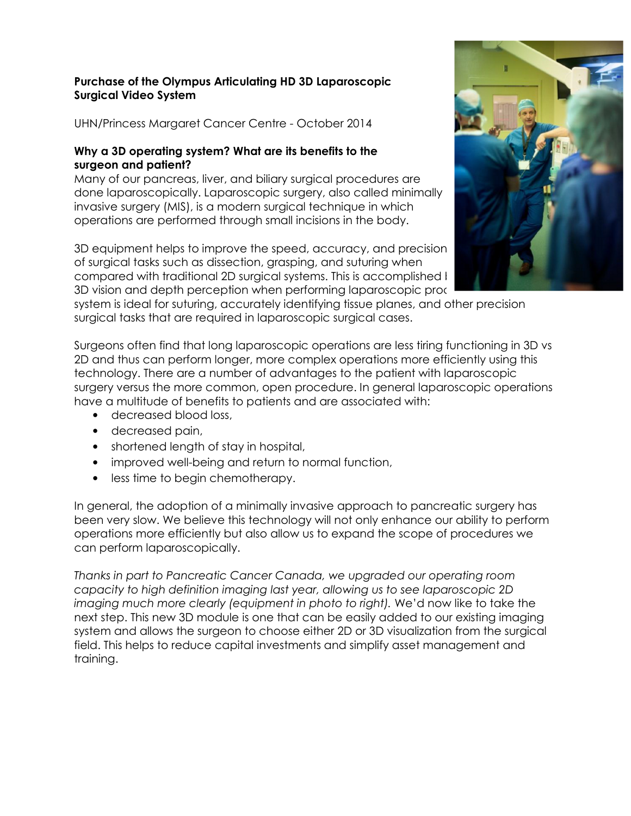## Purchase of the Olympus Articulating HD 3D Laparoscopic Surgical Video System

UHN/Princess Margaret Cancer Centre - October 2014

## Why a 3D operating system? What are its benefits to the surgeon and patient?

Many of our pancreas, liver, and biliary surgical procedures are done laparoscopically. Laparoscopic surgery, also called minimally invasive surgery (MIS), is a modern surgical technique in which operations are performed through small incisions in the body.

3D equipment helps to improve the speed, accuracy, and precision of surgical tasks such as dissection, grasping, and suturing when compared with traditional 2D surgical systems. This is accomplished I 3D vision and depth perception when performing laparoscopic proce



system is ideal for suturing, accurately identifying tissue planes, and other precision surgical tasks that are required in laparoscopic surgical cases.

Surgeons often find that long laparoscopic operations are less tiring functioning in 3D vs 2D and thus can perform longer, more complex operations more efficiently using this technology. There are a number of advantages to the patient with laparoscopic surgery versus the more common, open procedure. In general laparoscopic operations have a multitude of benefits to patients and are associated with:

- decreased blood loss,
- decreased pain,
- shortened length of stay in hospital,
- improved well-being and return to normal function,
- less time to begin chemotherapy.

In general, the adoption of a minimally invasive approach to pancreatic surgery has been very slow. We believe this technology will not only enhance our ability to perform operations more efficiently but also allow us to expand the scope of procedures we can perform laparoscopically.

Thanks in part to Pancreatic Cancer Canada, we upgraded our operating room capacity to high definition imaging last year, allowing us to see laparoscopic 2D imaging much more clearly (equipment in photo to right). We'd now like to take the next step. This new 3D module is one that can be easily added to our existing imaging system and allows the surgeon to choose either 2D or 3D visualization from the surgical field. This helps to reduce capital investments and simplify asset management and training.